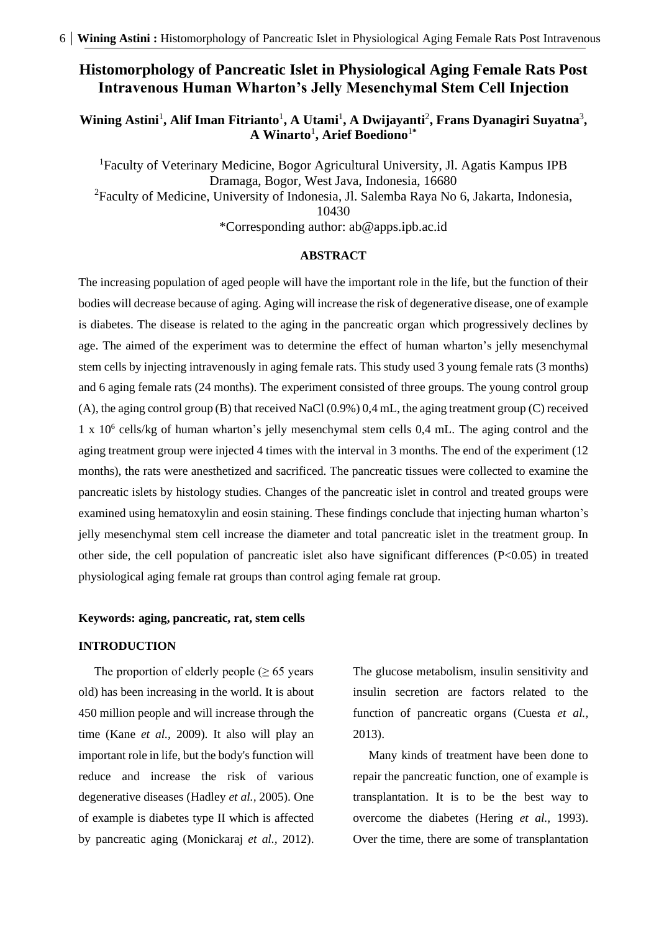## **Histomorphology of Pancreatic Islet in Physiological Aging Female Rats Post Intravenous Human Wharton's Jelly Mesenchymal Stem Cell Injection**

Wining Astini<sup>1</sup>, Alif Iman Fitrianto<sup>1</sup>, A Utami<sup>1</sup>, A Dwijayanti<sup>2</sup>, Frans Dyanagiri Suyatna<sup>3</sup>, **A Winarto**<sup>1</sup> **, Arief Boediono**<sup>1</sup>**\***

<sup>1</sup>Faculty of Veterinary Medicine, Bogor Agricultural University, Jl. Agatis Kampus IPB Dramaga, Bogor, West Java, Indonesia, 16680 <sup>2</sup>Faculty of Medicine, University of Indonesia, Jl. Salemba Raya No 6, Jakarta, Indonesia, 10430

\*Corresponding author: [ab@apps.ipb.ac.id](mailto:ab@apps.ipb.ac.id)

#### **ABSTRACT**

The increasing population of aged people will have the important role in the life, but the function of their bodies will decrease because of aging. Aging will increase the risk of degenerative disease, one of example is diabetes. The disease is related to the aging in the pancreatic organ which progressively declines by age. The aimed of the experiment was to determine the effect of human wharton's jelly mesenchymal stem cells by injecting intravenously in aging female rats. This study used 3 young female rats (3 months) and 6 aging female rats (24 months). The experiment consisted of three groups. The young control group (A), the aging control group (B) that received NaCl (0.9%) 0,4 mL, the aging treatment group (C) received 1 x 10<sup>6</sup> cells/kg of human wharton's jelly mesenchymal stem cells 0,4 mL. The aging control and the aging treatment group were injected 4 times with the interval in 3 months. The end of the experiment (12 months), the rats were anesthetized and sacrificed. The pancreatic tissues were collected to examine the pancreatic islets by histology studies. Changes of the pancreatic islet in control and treated groups were examined using hematoxylin and eosin staining. These findings conclude that injecting human wharton's jelly mesenchymal stem cell increase the diameter and total pancreatic islet in the treatment group. In other side, the cell population of pancreatic islet also have significant differences  $(P<0.05)$  in treated physiological aging female rat groups than control aging female rat group.

## **Keywords: aging, pancreatic, rat, stem cells**

### **INTRODUCTION**

The proportion of elderly people  $(≥ 65$  years old) has been increasing in the world. It is about 450 million people and will increase through the time (Kane *et al.,* 2009). It also will play an important role in life, but the body's function will reduce and increase the risk of various degenerative diseases (Hadley *et al.,* 2005). One of example is diabetes type II which is affected by pancreatic aging (Monickaraj *et al.,* 2012). The glucose metabolism, insulin sensitivity and insulin secretion are factors related to the function of pancreatic organs (Cuesta *et al.,* 2013).

Many kinds of treatment have been done to repair the pancreatic function, one of example is transplantation. It is to be the best way to overcome the diabetes (Hering *et al.,* 1993). Over the time, there are some of transplantation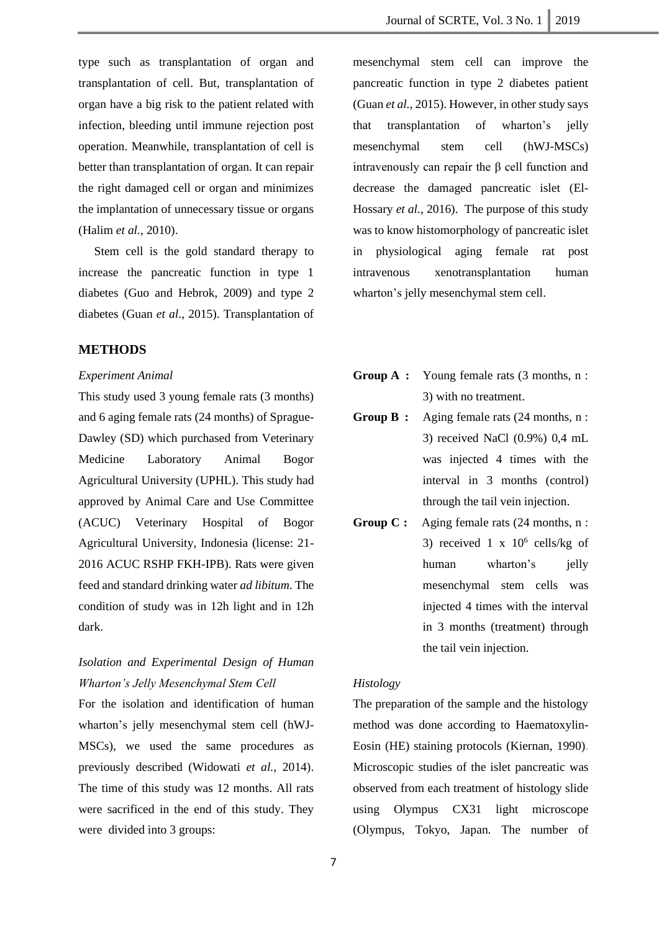type such as transplantation of organ and transplantation of cell. But, transplantation of organ have a big risk to the patient related with infection, bleeding until immune rejection post operation. Meanwhile, transplantation of cell is better than transplantation of organ. It can repair the right damaged cell or organ and minimizes the implantation of unnecessary tissue or organs (Halim *et al.,* 2010).

Stem cell is the gold standard therapy to increase the pancreatic function in type 1 diabetes (Guo and Hebrok, 2009) and type 2 diabetes (Guan *et al*., 2015). Transplantation of

### **METHODS**

#### *Experiment Animal*

This study used 3 young female rats (3 months) and 6 aging female rats (24 months) of Sprague-Dawley (SD) which purchased from Veterinary Medicine Laboratory Animal Bogor Agricultural University (UPHL). This study had approved by Animal Care and Use Committee (ACUC) Veterinary Hospital of Bogor Agricultural University, Indonesia (license: 21- 2016 ACUC RSHP FKH-IPB). Rats were given feed and standard drinking water *ad libitum*. The condition of study was in 12h light and in 12h dark.

# *Isolation and Experimental Design of Human Wharton's Jelly Mesenchymal Stem Cell*

For the isolation and identification of human wharton's jelly mesenchymal stem cell (hWJ-MSCs), we used the same procedures as previously described (Widowati *et al.,* 2014). The time of this study was 12 months. All rats were sacrificed in the end of this study. They were divided into 3 groups:

mesenchymal stem cell can improve the pancreatic function in type 2 diabetes patient (Guan *et al.,* 2015). However, in other study says that transplantation of wharton's jelly mesenchymal stem cell (hWJ-MSCs) intravenously can repair the β cell function and decrease the damaged pancreatic islet (El-Hossary *et al.,* 2016). The purpose of this study was to know histomorphology of pancreatic islet in physiological aging female rat post intravenous xenotransplantation human wharton's jelly mesenchymal stem cell.

- **Group A :** Young female rats (3 months, n : 3) with no treatment.
- **Group B :** Aging female rats (24 months, n : 3) received NaCl (0.9%) 0,4 mL was injected 4 times with the interval in 3 months (control) through the tail vein injection.
- **Group C :** Aging female rats (24 months, n : 3) received  $1 \times 10^6$  cells/kg of human wharton's ielly mesenchymal stem cells was injected 4 times with the interval in 3 months (treatment) through the tail vein injection.

## *Histology*

The preparation of the sample and the histology method was done according to Haematoxylin-Eosin (HE) staining protocols (Kiernan, 1990). Microscopic studies of the islet pancreatic was observed from each treatment of histology slide using Olympus CX31 light microscope (Olympus, Tokyo, Japan. The number of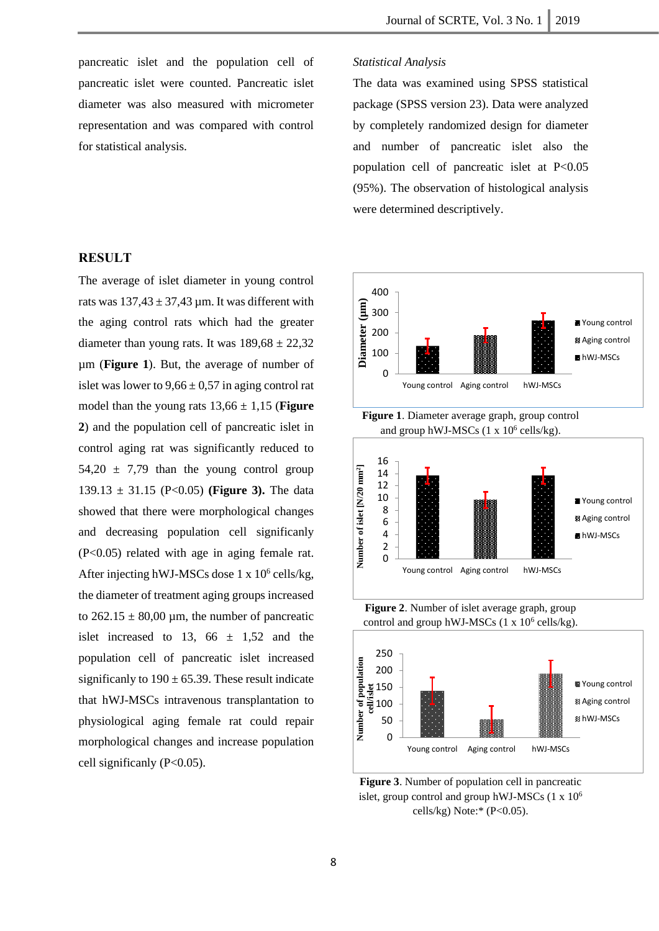pancreatic islet and the population cell of pancreatic islet were counted. Pancreatic islet diameter was also measured with micrometer representation and was compared with control for statistical analysis.

### **RESULT**

The average of islet diameter in young control rats was  $137,43 \pm 37,43$  µm. It was different with the aging control rats which had the greater diameter than young rats. It was  $189,68 \pm 22,32$ µm (**Figure 1**). But, the average of number of islet was lower to  $9.66 \pm 0.57$  in aging control rat model than the young rats  $13,66 \pm 1,15$  (**Figure 2**) and the population cell of pancreatic islet in control aging rat was significantly reduced to  $54,20 \pm 7,79$  than the young control group 139.13  $\pm$  31.15 (P<0.05) (**Figure 3).** The data showed that there were morphological changes and decreasing population cell significanly (P<0.05) related with age in aging female rat. After injecting hWJ-MSCs dose  $1 \times 10^6$  cells/kg, the diameter of treatment aging groups increased to  $262.15 \pm 80,00 \,\mu$ m, the number of pancreatic islet increased to 13, 66  $\pm$  1,52 and the population cell of pancreatic islet increased significanly to  $190 \pm 65.39$ . These result indicate that hWJ-MSCs intravenous transplantation to physiological aging female rat could repair morphological changes and increase population cell significanly (P<0.05).

#### *Statistical Analysis*

The data was examined using SPSS statistical package (SPSS version 23). Data were analyzed by completely randomized design for diameter and number of pancreatic islet also the population cell of pancreatic islet at P<0.05 (95%). The observation of histological analysis were determined descriptively.







**Figure 2**. Number of islet average graph, group control and group hWJ-MSCs  $(1 \times 10^6 \text{ cells/kg})$ .



**Figure 3**. Number of population cell in pancreatic islet, group control and group hWJ-MSCs  $(1 \times 10^6$ cells/kg) Note: $*(P<0.05)$ .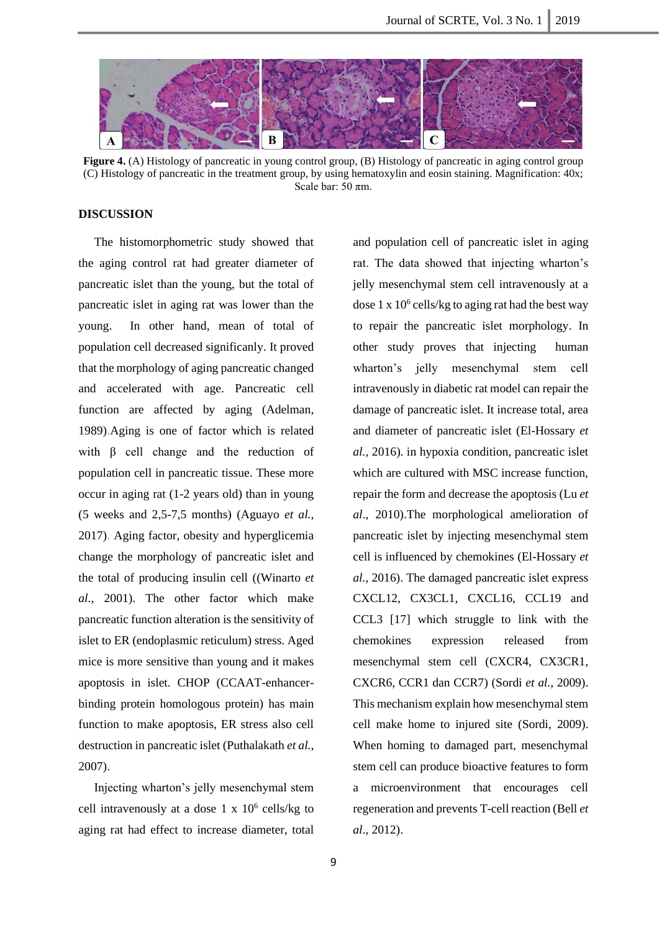

**Figure 4.** (A) Histology of pancreatic in young control group, (B) Histology of pancreatic in aging control group (C) Histology of pancreatic in the treatment group, by using hematoxylin and eosin staining. Magnification: 40x; Scale bar:  $50 \pi m$ .

### **DISCUSSION**

The histomorphometric study showed that the aging control rat had greater diameter of pancreatic islet than the young, but the total of pancreatic islet in aging rat was lower than the young. In other hand, mean of total of population cell decreased significanly. It proved that the morphology of aging pancreatic changed and accelerated with age. Pancreatic cell function are affected by aging (Adelman, 1989).Aging is one of factor which is related with  $\beta$  cell change and the reduction of population cell in pancreatic tissue. These more occur in aging rat (1-2 years old) than in young (5 weeks and 2,5-7,5 months) (Aguayo *et al.,* 2017). Aging factor, obesity and hyperglicemia change the morphology of pancreatic islet and the total of producing insulin cell ((Winarto *et al.,* 2001). The other factor which make pancreatic function alteration is the sensitivity of islet to ER (endoplasmic reticulum) stress. Aged mice is more sensitive than young and it makes apoptosis in islet. CHOP (CCAAT-enhancerbinding protein homologous protein) has main function to make apoptosis, ER stress also cell destruction in pancreatic islet (Puthalakath *et al.,* 2007).

Injecting wharton's jelly mesenchymal stem cell intravenously at a dose  $1 \times 10^6$  cells/kg to aging rat had effect to increase diameter, total

and population cell of pancreatic islet in aging rat. The data showed that injecting wharton's jelly mesenchymal stem cell intravenously at a dose 1 x 10<sup>6</sup> cells/kg to aging rat had the best way to repair the pancreatic islet morphology. In other study proves that injecting human wharton's jelly mesenchymal stem cell intravenously in diabetic rat model can repair the damage of pancreatic islet. It increase total, area and diameter of pancreatic islet (El-Hossary *et al.,* 2016). in hypoxia condition, pancreatic islet which are cultured with MSC increase function, repair the form and decrease the apoptosis (Lu *et al*., 2010).The morphological amelioration of pancreatic islet by injecting mesenchymal stem cell is influenced by chemokines (El-Hossary *et al.,* 2016). The damaged pancreatic islet express CXCL12, CX3CL1, CXCL16, CCL19 and CCL3 [17] which struggle to link with the chemokines expression released from mesenchymal stem cell (CXCR4, CX3CR1, CXCR6, CCR1 dan CCR7) (Sordi *et al.,* 2009). This mechanism explain how mesenchymal stem cell make home to injured site (Sordi*,* 2009). When homing to damaged part, mesenchymal stem cell can produce bioactive features to form a microenvironment that encourages cell regeneration and prevents T-cell reaction (Bell *et al*., 2012).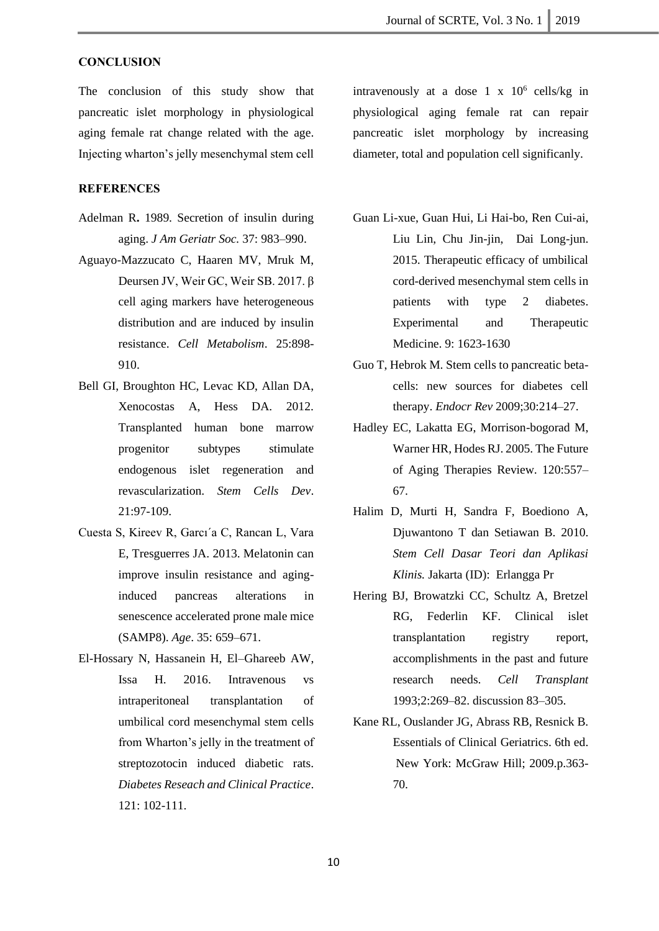### **CONCLUSION**

The conclusion of this study show that pancreatic islet morphology in physiological aging female rat change related with the age. Injecting wharton's jelly mesenchymal stem cell

### **REFERENCES**

- Adelman R**.** 1989. Secretion of insulin during aging. *J Am Geriatr Soc.* 37: 983–990.
- Aguayo-Mazzucato C, Haaren MV, Mruk M, Deursen JV, Weir GC, Weir SB. 2017. β cell aging markers have heterogeneous distribution and are induced by insulin resistance. *Cell Metabolism*. 25:898- 910.
- Bell GI, Broughton HC, Levac KD, Allan DA, Xenocostas A, Hess DA. 2012. Transplanted human bone marrow progenitor subtypes stimulate endogenous islet regeneration and revascularization. *Stem Cells Dev*. 21:97-109.
- Cuesta S, Kireev R, Garcı´a C, Rancan L, Vara E, Tresguerres JA. 2013. Melatonin can improve insulin resistance and aginginduced pancreas alterations in senescence accelerated prone male mice (SAMP8). *Age*. 35: 659–671.
- El-Hossary N, Hassanein H, El–Ghareeb AW, Issa H. 2016. Intravenous vs intraperitoneal transplantation of umbilical cord mesenchymal stem cells from Wharton's jelly in the treatment of streptozotocin induced diabetic rats. *Diabetes Reseach and Clinical Practice*. 121: 102-111.

intravenously at a dose  $1 \times 10^6$  cells/kg in physiological aging female rat can repair pancreatic islet morphology by increasing diameter, total and population cell significanly.

- Guan Li-xue, Guan Hui, Li Hai-bo, Ren Cui-ai, Liu Lin, Chu Jin-jin, Dai Long-jun. 2015. Therapeutic efficacy of umbilical cord-derived mesenchymal stem cells in patients with type 2 diabetes. Experimental and Therapeutic Medicine. 9: 1623-1630
- Guo T, Hebrok M. Stem cells to pancreatic betacells: new sources for diabetes cell therapy. *Endocr Rev* 2009;30:214–27.
- Hadley EC, Lakatta EG, Morrison-bogorad M, Warner HR, Hodes RJ. 2005. The Future of Aging Therapies Review. 120:557– 67.
- Halim D, Murti H, Sandra F, Boediono A, Djuwantono T dan Setiawan B. 2010. *Stem Cell Dasar Teori dan Aplikasi Klinis.* Jakarta (ID): Erlangga Pr
- Hering BJ, Browatzki CC, Schultz A, Bretzel RG, Federlin KF. Clinical islet transplantation registry report, accomplishments in the past and future research needs. *Cell Transplant* 1993;2:269–82. discussion 83–305.
- Kane RL, Ouslander JG, Abrass RB, Resnick B. Essentials of Clinical Geriatrics. 6th ed. New York: McGraw Hill; 2009.p.363- 70.